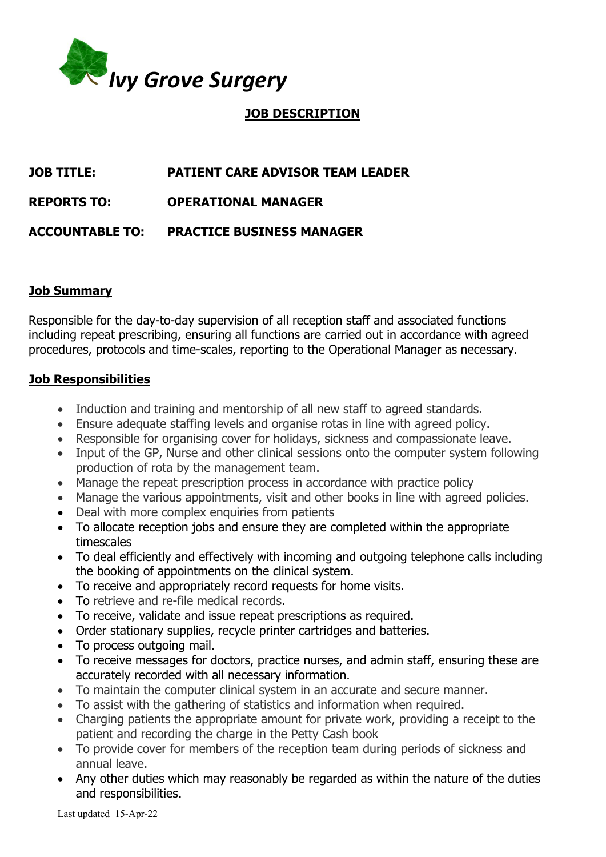

# **JOB DESCRIPTION**

# **JOB TITLE: PATIENT CARE ADVISOR TEAM LEADER**

### **REPORTS TO: OPERATIONAL MANAGER**

# **ACCOUNTABLE TO: PRACTICE BUSINESS MANAGER**

### **Job Summary**

Responsible for the day-to-day supervision of all reception staff and associated functions including repeat prescribing, ensuring all functions are carried out in accordance with agreed procedures, protocols and time-scales, reporting to the Operational Manager as necessary.

### **Job Responsibilities**

- Induction and training and mentorship of all new staff to agreed standards.
- Ensure adequate staffing levels and organise rotas in line with agreed policy.
- Responsible for organising cover for holidays, sickness and compassionate leave.
- Input of the GP, Nurse and other clinical sessions onto the computer system following production of rota by the management team.
- Manage the repeat prescription process in accordance with practice policy
- Manage the various appointments, visit and other books in line with agreed policies.
- Deal with more complex enquiries from patients
- To allocate reception jobs and ensure they are completed within the appropriate timescales
- To deal efficiently and effectively with incoming and outgoing telephone calls including the booking of appointments on the clinical system.
- To receive and appropriately record requests for home visits.
- To retrieve and re-file medical records.
- To receive, validate and issue repeat prescriptions as required.
- Order stationary supplies, recycle printer cartridges and batteries.
- To process outgoing mail.
- To receive messages for doctors, practice nurses, and admin staff, ensuring these are accurately recorded with all necessary information.
- To maintain the computer clinical system in an accurate and secure manner.
- To assist with the gathering of statistics and information when required.
- Charging patients the appropriate amount for private work, providing a receipt to the patient and recording the charge in the Petty Cash book
- To provide cover for members of the reception team during periods of sickness and annual leave.
- Any other duties which may reasonably be regarded as within the nature of the duties and responsibilities.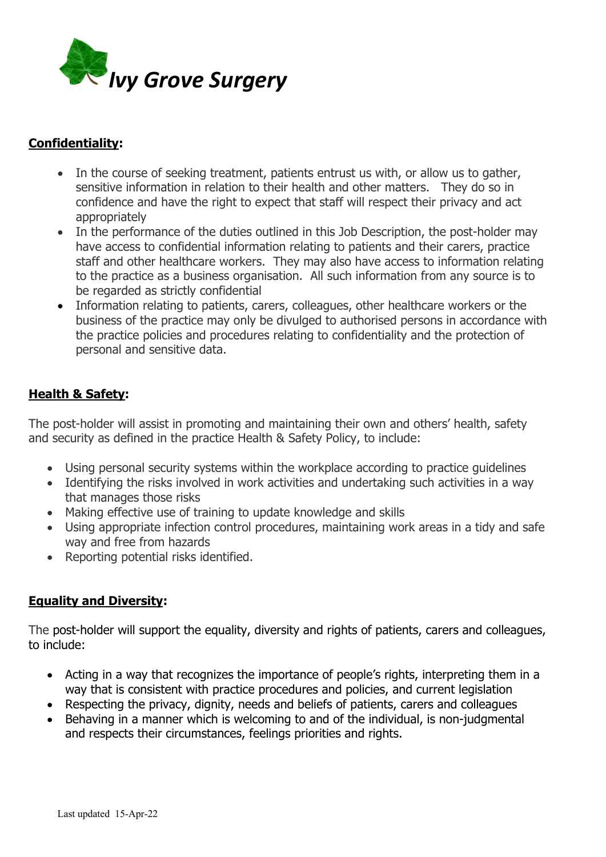

# **Confidentiality:**

- In the course of seeking treatment, patients entrust us with, or allow us to gather, sensitive information in relation to their health and other matters. They do so in confidence and have the right to expect that staff will respect their privacy and act appropriately
- In the performance of the duties outlined in this Job Description, the post-holder may have access to confidential information relating to patients and their carers, practice staff and other healthcare workers. They may also have access to information relating to the practice as a business organisation. All such information from any source is to be regarded as strictly confidential
- Information relating to patients, carers, colleagues, other healthcare workers or the business of the practice may only be divulged to authorised persons in accordance with the practice policies and procedures relating to confidentiality and the protection of personal and sensitive data.

# **Health & Safety:**

The post-holder will assist in promoting and maintaining their own and others' health, safety and security as defined in the practice Health & Safety Policy, to include:

- Using personal security systems within the workplace according to practice guidelines
- Identifying the risks involved in work activities and undertaking such activities in a way that manages those risks
- Making effective use of training to update knowledge and skills
- Using appropriate infection control procedures, maintaining work areas in a tidy and safe way and free from hazards
- Reporting potential risks identified.

# **Equality and Diversity:**

The post-holder will support the equality, diversity and rights of patients, carers and colleagues, to include:

- Acting in a way that recognizes the importance of people's rights, interpreting them in a way that is consistent with practice procedures and policies, and current legislation
- Respecting the privacy, dignity, needs and beliefs of patients, carers and colleagues
- Behaving in a manner which is welcoming to and of the individual, is non-judgmental and respects their circumstances, feelings priorities and rights.